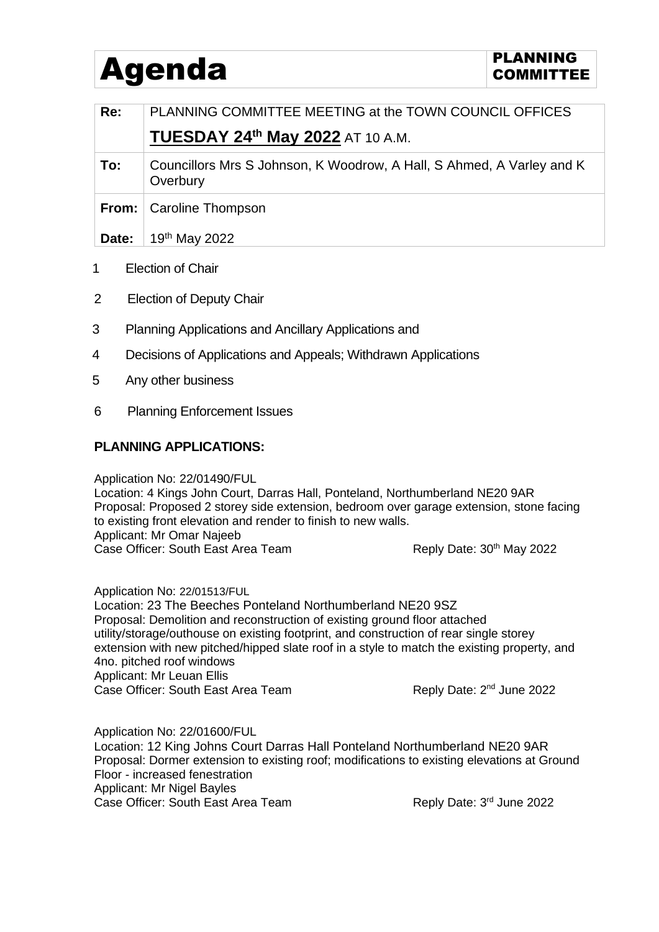## Agenda **PLANNING** PLANNING

| Re:           | PLANNING COMMITTEE MEETING at the TOWN COUNCIL OFFICES                            |
|---------------|-----------------------------------------------------------------------------------|
|               | <b>TUESDAY 24th May 2022 AT 10 A.M.</b>                                           |
| To:           | Councillors Mrs S Johnson, K Woodrow, A Hall, S Ahmed, A Varley and K<br>Overbury |
| From: $\vert$ | Caroline Thompson                                                                 |
| Date:         | 19 <sup>th</sup> May 2022                                                         |
|               |                                                                                   |

- 1 Election of Chair
- 2 Election of Deputy Chair
- 3 Planning Applications and Ancillary Applications and
- 4 Decisions of Applications and Appeals; Withdrawn Applications
- 5 Any other business
- 6 Planning Enforcement Issues

## **PLANNING APPLICATIONS:**

Application No: 22/01490/FUL

Location: 4 Kings John Court, Darras Hall, Ponteland, Northumberland NE20 9AR Proposal: Proposed 2 storey side extension, bedroom over garage extension, stone facing to existing front elevation and render to finish to new walls. Applicant: Mr Omar Najeeb Case Officer: South East Area Team Reply Date: 30<sup>th</sup> May 2022

Application No: 22/01513/FUL Location: 23 The Beeches Ponteland Northumberland NE20 9SZ Proposal: Demolition and reconstruction of existing ground floor attached utility/storage/outhouse on existing footprint, and construction of rear single storey extension with new pitched/hipped slate roof in a style to match the existing property, and 4no. pitched roof windows Applicant: Mr Leuan Ellis Case Officer: South East Area Team Reply Date: 2<sup>nd</sup> June 2022

Application No: 22/01600/FUL Location: 12 King Johns Court Darras Hall Ponteland Northumberland NE20 9AR Proposal: Dormer extension to existing roof; modifications to existing elevations at Ground Floor - increased fenestration Applicant: Mr Nigel Bayles Case Officer: South East Area Team Reply Date: 3rd June 2022